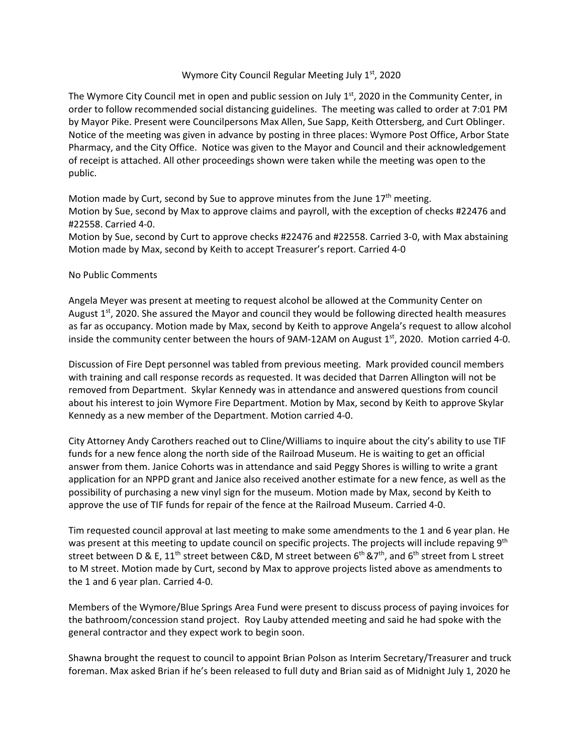## Wymore City Council Regular Meeting July  $1<sup>st</sup>$ , 2020

The Wymore City Council met in open and public session on July  $1<sup>st</sup>$ , 2020 in the Community Center, in order to follow recommended social distancing guidelines. The meeting was called to order at 7:01 PM by Mayor Pike. Present were Councilpersons Max Allen, Sue Sapp, Keith Ottersberg, and Curt Oblinger. Notice of the meeting was given in advance by posting in three places: Wymore Post Office, Arbor State Pharmacy, and the City Office. Notice was given to the Mayor and Council and their acknowledgement of receipt is attached. All other proceedings shown were taken while the meeting was open to the public.

Motion made by Curt, second by Sue to approve minutes from the June 17<sup>th</sup> meeting. Motion by Sue, second by Max to approve claims and payroll, with the exception of checks #22476 and #22558. Carried 4‐0.

Motion by Sue, second by Curt to approve checks #22476 and #22558. Carried 3‐0, with Max abstaining Motion made by Max, second by Keith to accept Treasurer's report. Carried 4‐0

## No Public Comments

Angela Meyer was present at meeting to request alcohol be allowed at the Community Center on August  $1<sup>st</sup>$ , 2020. She assured the Mayor and council they would be following directed health measures as far as occupancy. Motion made by Max, second by Keith to approve Angela's request to allow alcohol inside the community center between the hours of  $9AM-12AM$  on August  $1<sup>st</sup>$ , 2020. Motion carried 4-0.

Discussion of Fire Dept personnel was tabled from previous meeting. Mark provided council members with training and call response records as requested. It was decided that Darren Allington will not be removed from Department. Skylar Kennedy was in attendance and answered questions from council about his interest to join Wymore Fire Department. Motion by Max, second by Keith to approve Skylar Kennedy as a new member of the Department. Motion carried 4‐0.

City Attorney Andy Carothers reached out to Cline/Williams to inquire about the city's ability to use TIF funds for a new fence along the north side of the Railroad Museum. He is waiting to get an official answer from them. Janice Cohorts was in attendance and said Peggy Shores is willing to write a grant application for an NPPD grant and Janice also received another estimate for a new fence, as well as the possibility of purchasing a new vinyl sign for the museum. Motion made by Max, second by Keith to approve the use of TIF funds for repair of the fence at the Railroad Museum. Carried 4‐0.

Tim requested council approval at last meeting to make some amendments to the 1 and 6 year plan. He was present at this meeting to update council on specific projects. The projects will include repaving 9<sup>th</sup> street between D & E,  $11^{th}$  street between C&D, M street between  $6^{th}$  &7<sup>th</sup>, and  $6^{th}$  street from L street to M street. Motion made by Curt, second by Max to approve projects listed above as amendments to the 1 and 6 year plan. Carried 4‐0.

Members of the Wymore/Blue Springs Area Fund were present to discuss process of paying invoices for the bathroom/concession stand project. Roy Lauby attended meeting and said he had spoke with the general contractor and they expect work to begin soon.

Shawna brought the request to council to appoint Brian Polson as Interim Secretary/Treasurer and truck foreman. Max asked Brian if he's been released to full duty and Brian said as of Midnight July 1, 2020 he